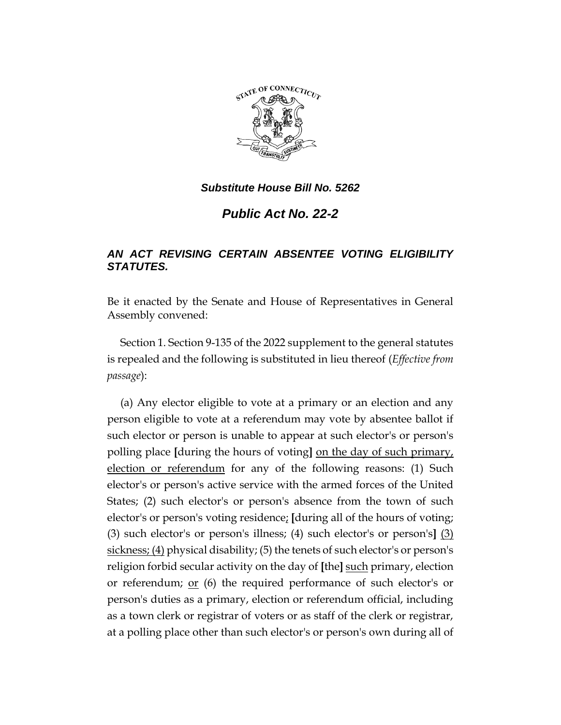

*Substitute House Bill No. 5262*

*Public Act No. 22-2*

## *AN ACT REVISING CERTAIN ABSENTEE VOTING ELIGIBILITY STATUTES.*

Be it enacted by the Senate and House of Representatives in General Assembly convened:

Section 1. Section 9-135 of the 2022 supplement to the general statutes is repealed and the following is substituted in lieu thereof (*Effective from passage*):

(a) Any elector eligible to vote at a primary or an election and any person eligible to vote at a referendum may vote by absentee ballot if such elector or person is unable to appear at such elector's or person's polling place **[**during the hours of voting**]** on the day of such primary, election or referendum for any of the following reasons: (1) Such elector's or person's active service with the armed forces of the United States; (2) such elector's or person's absence from the town of such elector's or person's voting residence; **[**during all of the hours of voting; (3) such elector's or person's illness; (4) such elector's or person's**]** (3) sickness; (4) physical disability; (5) the tenets of such elector's or person's religion forbid secular activity on the day of **[**the**]** such primary, election or referendum; or (6) the required performance of such elector's or person's duties as a primary, election or referendum official, including as a town clerk or registrar of voters or as staff of the clerk or registrar, at a polling place other than such elector's or person's own during all of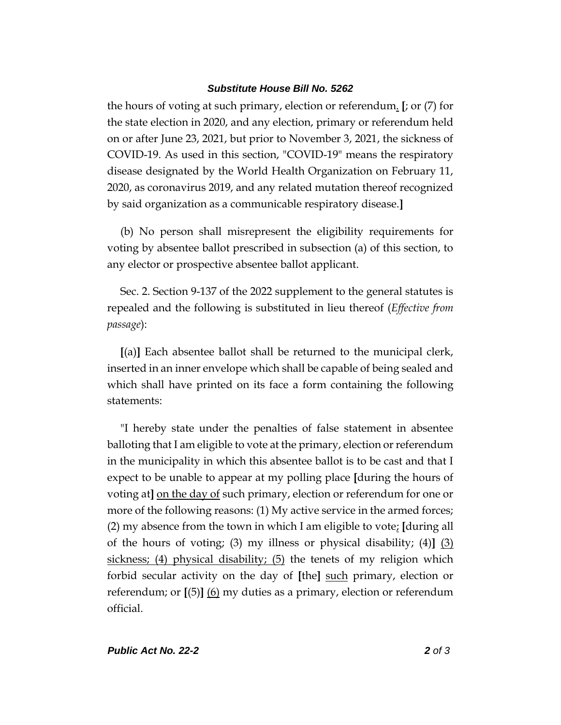## *Substitute House Bill No. 5262*

the hours of voting at such primary, election or referendum. **[**; or (7) for the state election in 2020, and any election, primary or referendum held on or after June 23, 2021, but prior to November 3, 2021, the sickness of COVID-19. As used in this section, "COVID-19" means the respiratory disease designated by the World Health Organization on February 11, 2020, as coronavirus 2019, and any related mutation thereof recognized by said organization as a communicable respiratory disease.**]**

(b) No person shall misrepresent the eligibility requirements for voting by absentee ballot prescribed in subsection (a) of this section, to any elector or prospective absentee ballot applicant.

Sec. 2. Section 9-137 of the 2022 supplement to the general statutes is repealed and the following is substituted in lieu thereof (*Effective from passage*):

**[**(a)**]** Each absentee ballot shall be returned to the municipal clerk, inserted in an inner envelope which shall be capable of being sealed and which shall have printed on its face a form containing the following statements:

"I hereby state under the penalties of false statement in absentee balloting that I am eligible to vote at the primary, election or referendum in the municipality in which this absentee ballot is to be cast and that I expect to be unable to appear at my polling place **[**during the hours of voting at**]** on the day of such primary, election or referendum for one or more of the following reasons: (1) My active service in the armed forces; (2) my absence from the town in which I am eligible to vote; **[**during all of the hours of voting; (3) my illness or physical disability; (4)**]** (3) sickness; (4) physical disability; (5) the tenets of my religion which forbid secular activity on the day of **[**the**]** such primary, election or referendum; or **[**(5)**]** (6) my duties as a primary, election or referendum official.